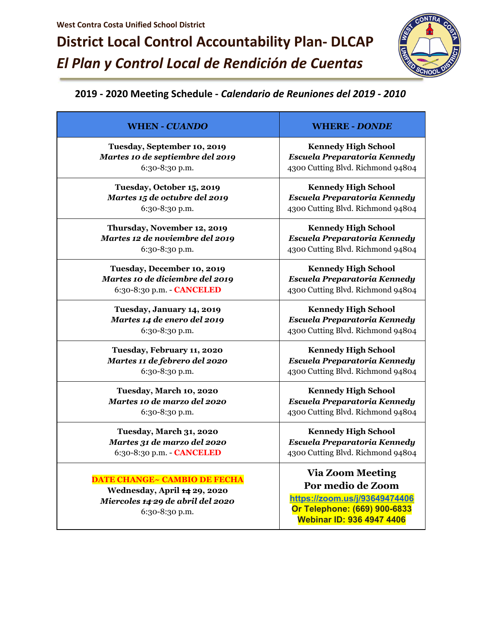## **District Local Control Accountability Plan- DLCAP** *El Plan y Control Local de Rendición de Cuentas*



## **2019 - 2020 Meeting Schedule -** *Calendario de Reuniones del 2019 - 2010*

| <b>WHEN - CUANDO</b>                | <b>WHERE - DONDE</b>              |
|-------------------------------------|-----------------------------------|
| Tuesday, September 10, 2019         | <b>Kennedy High School</b>        |
| Martes 10 de septiembre del 2019    | Escuela Preparatoria Kennedy      |
| 6:30-8:30 p.m.                      | 4300 Cutting Blvd. Richmond 94804 |
| Tuesday, October 15, 2019           | <b>Kennedy High School</b>        |
| Martes 15 de octubre del 2019       | Escuela Preparatoria Kennedy      |
| 6:30-8:30 p.m.                      | 4300 Cutting Blvd. Richmond 94804 |
| Thursday, November 12, 2019         | <b>Kennedy High School</b>        |
| Martes 12 de noviembre del 2019     | Escuela Preparatoria Kennedy      |
| 6:30-8:30 p.m.                      | 4300 Cutting Blvd. Richmond 94804 |
| Tuesday, December 10, 2019          | <b>Kennedy High School</b>        |
| Martes 10 de diciembre del 2019     | Escuela Preparatoria Kennedy      |
| 6:30-8:30 p.m. - CANCELED           | 4300 Cutting Blvd. Richmond 94804 |
| Tuesday, January 14, 2019           | <b>Kennedy High School</b>        |
| Martes 14 de enero del 2019         | Escuela Preparatoria Kennedy      |
| 6:30-8:30 p.m.                      | 4300 Cutting Blvd. Richmond 94804 |
| Tuesday, February 11, 2020          | <b>Kennedy High School</b>        |
| Martes 11 de febrero del 2020       | Escuela Preparatoria Kennedy      |
| 6:30-8:30 p.m.                      | 4300 Cutting Blvd. Richmond 94804 |
| Tuesday, March 10, 2020             | <b>Kennedy High School</b>        |
| Martes 10 de marzo del 2020         | Escuela Preparatoria Kennedy      |
| 6:30-8:30 p.m.                      | 4300 Cutting Blvd. Richmond 94804 |
| Tuesday, March 31, 2020             | <b>Kennedy High School</b>        |
| Martes 31 de marzo del 2020         | Escuela Preparatoria Kennedy      |
| 6:30-8:30 p.m. - CANCELED           | 4300 Cutting Blvd. Richmond 94804 |
|                                     | <b>Via Zoom Meeting</b>           |
| <b>DATE CHANGE~ CAMBIO DE FECHA</b> | Por medio de Zoom                 |
| Wednesday, April 14 29, 2020        | https://zoom.us/j/93649474406     |
| Miercoles 14-29 de abril del 2020   | Or Telephone: (669) 900-6833      |
| 6:30-8:30 p.m.                      | <b>Webinar ID: 936 4947 4406</b>  |
|                                     |                                   |